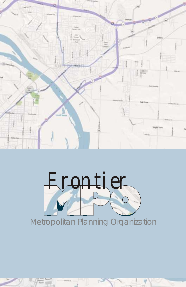



艳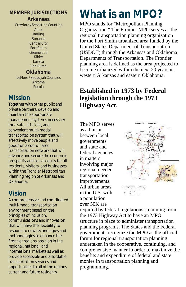## **MEMBER JURISDICTIONS**

*Arkansas* Crawford / Sebastian Counties Alma Barling Bonanza Central City Fort Smith Greenwood Kibler Lavaca Van Buren *Oklahoma*  LeFlore / Sequoyah Counties Arkoma

Pocola

# **Mission**

Together with other public and private partners, develop and maintain the appropriate management systems necessary for a safe, efficient, and convenient multi-modal transportation system that will effectively move people and goods on a coordinated transportation network that will advance and secure the economic prosperity and social equity for all residents, visitors, and businesses within the Frontier Metropolitan Planning region of Arkansas and Oklahoma.

# **Vision**

A comprehensive and coordinated multi-modal transportation environment based on the principles of inclusion, communications and innovation that will have the flexibility to respond to new technologies and methodologies to enhance the Frontier regions position in the regional, national, and international markets as well as provide accessible and affordable transportation services and opportunities to all of the regions current and future residents.

# **What is an MPO?**

MPO stands for "Metropolitan Planning Organization." The Frontier MPO serves as the regional transportation planning organization for the Fort Smith urbanized area funded by the United States Department of Transportation (USDOT) through the Arkansas and Oklahoma Departments of Transportation. The Frontier planning area is defined as the area projected to become urbanized within the next 20 years in western Arkansas and eastern Oklahoma.

# **Established in 1973 by Federal legislation through the 1973 Highway Act.**

The MPO serves as a liaison between local governments and state and federal agencies in matters involving major regional needed transportation improvements. All urban areas in the U.S. with a population over 50K are



required by federal regulations stemming from the 1973 Highway Act to have an MPO structure in place to administer transportation planning programs. The States and the Federal governments recognize the MPO as the official forum for regional transportation planning undertaken in the cooperative, continuing, and comprehensive manner in order to maximize the benefits and expenditure of federal and state monies in transportation planning and programming.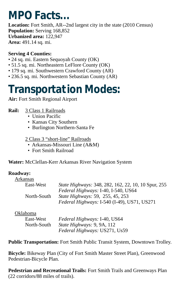# **MPO Facts...**

**Location:** Fort Smith, AR--2nd largest city in the state (2010 Census) **Population:** Serving 168,852 **Urbanized area:** 122,947 **Area:** 491.14 sq. mi.

## **Serving 4 Counties:**

- 24 sq. mi. Eastern Sequoyah County (OK)
- 51.5 sq. mi. Northeastern LeFlore County (OK)
- 179 sq. mi. Southwestern Crawford County (AR)
- 236.5 sq. mi. Northwestern Sebastian County (AR)

# **Transportation Modes:**

**Air:** Fort Smith Regional Airport

## **Rail:** 3 Class 1 Railroads

- Union Pacific
- Kansas City Southern
- Burlington Northern-Santa Fe

2 Class 3 "short-line" Railroads

- Arkansas-Missouri Line (A&M)
- Fort Smith Railroad

**Water:** McClellan-Kerr Arkansas River Navigation System

## **Roadway:**

| Arkansas    |                                                            |
|-------------|------------------------------------------------------------|
| East-West   | <i>State Highways:</i> 348, 282, 162, 22, 10, 10 Spur, 255 |
|             | Federal Highways: I-40, I-540, US64                        |
| North-South | <i>State Highways:</i> 59, 255, 45, 253                    |
|             | Federal Highways: I-540 (I-49), US71, US271                |

Oklahoma

| East-West   | Federal Highways: I-40, US64  |
|-------------|-------------------------------|
| North-South | State Highways: 9, 9A, 112    |
|             | Federal Highways: US271, Us59 |

**Public Transportation:** Fort Smith Public Transit System, Downtown Trolley.

**Bicycle:** Bikeway Plan (City of Fort Smith Master Street Plan), Greenwood Pedestrian-Bicycle Plan.

**Pedestrian and Recreational Trails:** Fort Smith Trails and Greenways Plan (22 corridors/88 miles of trails).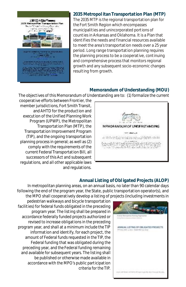

### **2035 Metropol itan Transportation Plan (MTP)**

The 2035 MTP is the regional transportation plan for the Fort Smith Region which encompasses municipalities and unincorporated portions of counties in Arkansas and Oklahoma. It is a Plan that identifies the needs and financial resources available to meet the area's transportation needs over a 25 year period. Long range transportation planning requires the planning process to be a cooperative, continuing and comprehensive process that monitors regional growth and any subsequent socio-economic changes resulting from growth.

### **Memorandum of Understanding (MOU)**

The objectives of this Memorandum of Understanding are to: (1) formalize the current

cooperative efforts between Frontier, the member jurisdictions, Fort Smith Transit, and AHTD for the production and execution of the Unified Planning Work Program (UPWP), the Metropolitan Transportation Plan (MTP), the Transportation Improvement Program (TIP), and the ongoing transportation planning process in general; as well as (2) comply with the requirements of the current Federal Transportation Bill, all successors of this Act and subsequent regulations, and all other applicable laws and regulations.



### **Annual Listing of Obl igated Projects (ALOP)**

In metropolitan planning areas, on an annual basis, no later than 90 calendar days following the end of the program year, the State, public transportation operator(s), and the MPO shall cooperatively develop a listing of projects (including investments in



pedestrian walkways and bicycle transportation facilities) for federal funds obligated in the preceding program year. The listing shall be prepared in accordance federally funded projects authorized or revised to increase obligations in the preceding program year, and shall at a minimum include the TIP information and identify, for each project, the amount of Federal funds requested in the TIP, the Federal funding that was obligated during the preceding year, and the Federal funding remaining and available for subsequent years. The listing shall be published or otherwise made available in accordance with the MPO's public participation criteria for the TIP.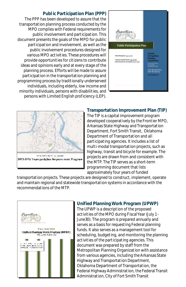#### **Publ ic Participation Plan (PPP)**

The PPP has been developed to assure that the transportation planning process conducted by the MPO complies with Federal requirements for public involvement and participation. This document presents the goals of the MPO for public participation and involvement, as well as the public involvement procedures designed for various MPO activities. These procedures will provide opportunities for citizens to contribute ideas and opinions early and at every stage of the planning process. Efforts will be made to assure participation in the transportation planning and programming process by traditionally underserved individuals, including elderly, low income and minority individuals, persons with disabilities, and persons with Limited English proficiency (LEP).





#### **Transportation Improvement Plan (TIP)**

The TIP is a capital improvement program developed cooperatively by the Frontier MPO, Arkansas State Highway and Transportation Department, Fort Smith Transit, Oklahoma Department of Transportation and all participating agencies. It includes a list of multi-modal transportation projects, such as highway, transit and bicycle for example. The projects are drawn from and consistent with the MTP. The TIP serves as a short-term programming document that lists approximately four years of funded

transportation projects. These projects are designed to construct, implement, operate and maintain regional and statewide transportation systems in accordance with the recommendations of the MTP.



#### **Unified Planning Work Program (UPWP)**

The UPWP is a description of the proposed activities of the MPO during Fiscal Year (July 1 - June30). The program is prepared annually and serves as a basis for requesting Federal planning funds. It also serves as a management tool for scheduling, budgeting, and monitoring the planning activities of the participating agencies. This document was prepared by staff from the Metropolitan Planning Organization with assistance from various agencies, including the Arkansas State Highway and Transportation Department, Oklahoma Department of Transportation, the Federal Highway Administration, the Federal Transit Administration, City of Fort Smith Transit